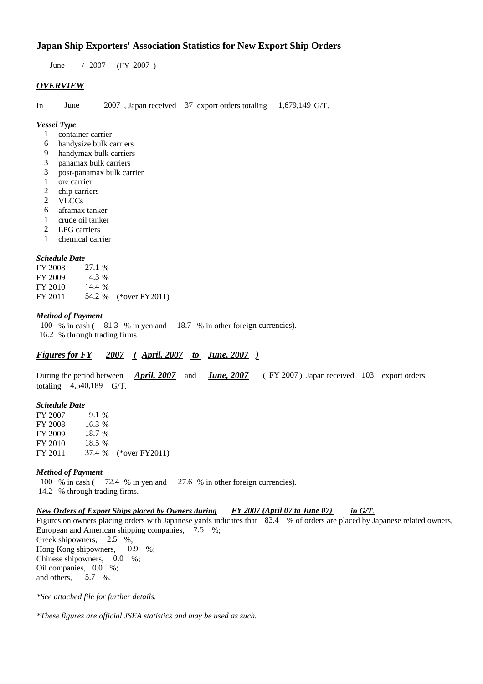### **Japan Ship Exporters' Association Statistics for New Export Ship Orders**

 $/ 2007$  (FY 2007) June / 2007

#### *OVERVIEW*

In June 2007, Japan received 37 export orders totaling 1,679,149 G/T. June

#### *Vessel Type*

- container carrier 1
- handysize bulk carriers 6
- handymax bulk carriers 9
- panamax bulk carriers 3
- post-panamax bulk carrier 3
- ore carrier 1
- chip carriers 2
- VLCCs 2
- aframax tanker 6
- crude oil tanker 1
- LPG carriers 2
- chemical carrier 1

#### *Schedule Date*

| FY 2008 | 27.1 % |                       |
|---------|--------|-----------------------|
| FY 2009 | 4.3 %  |                       |
| FY 2010 | 14.4 % |                       |
| FY 2011 |        | 54.2 % (*over FY2011) |

#### *Method of Payment*

100 % in cash (81.3 % in yen and 18.7 % in other foreign currencies). 16.2 % through trading firms.

#### *Figures for FY* 2007 (April, 2007 *to June, 2007*)

During the period between *April, 2007* and *June, 2007* (FY 2007), Japan received 103 export orders totaling  $4,540,189$  G/T. *April, 2007 June, 2007*

#### *Schedule Date*

FY 2007 FY 2008 FY 2009 FY 2010 FY 2011 37.4 % (\*over FY2011) 16.3 % 18.7 % 18.5 37.4 9.1 %

#### *Method of Payment*

100 % in cash (72.4 % in yen and 27.6 % in other foreign currencies). 14.2 % through trading firms.

#### *New Orders of Export Ships placed by Owners during in G/T. FY 2007 (April 07 to June 07)*

Figures on owners placing orders with Japanese yards indicates that 83.4 % of orders are placed by Japanese related owners, European and American shipping companies,  $7.5\%$ ; Greek shipowners,  $2.5\%$ ; Hong Kong shipowners,  $0.9\%$ ; Chinese shipowners,  $0.0\%$ ; Oil companies, 0.0 %; and others, 5.7 %. 0.9

*\*See attached file for further details.*

*\*These figures are official JSEA statistics and may be used as such.*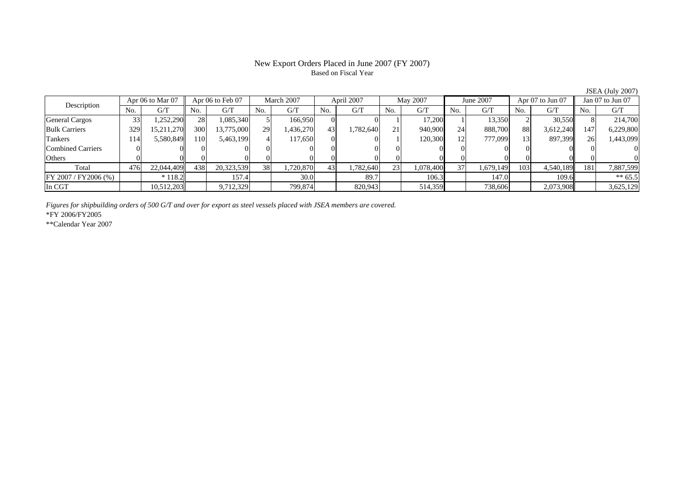# Based on Fiscal Year

No. G/T No. G/T No. G/T No. G/T No. G/T No. G/T No. G/T No. G/TGeneral Cargos ( 33 1,252,290 28 1,085,340 5 166,950 0 0 1 17,200 1 13,350 2 30,550 8 214,700 Bulk Carriers 329 15,211,270 300 13,775,000 29 1,436,270 43 1,782,640 21 940,900 24 888,700 88 3,612,240 147 6,229,800 Tankers | 114| 5,580,849|| 110| 5,463,199| 4| 117,650| 0| 0| 1| 120,300| 12| 777,099| 13| 897,399|| 26| 1,443,099 Combined Carriers 0 0 0 0 0 0 0 0 0 0 0 0 0 0 0 0Others 0 0 0 0 0 0 0 0 0 0 0 0 0 0 0 0 $\mathbf{0}$ Total 476 22,044,409 438 20,323,539 38 1,720,870 43 1,782,640 23 1,078,400 37 1,679,149 103 4,540,189 181 7,887,599  $\boxed{FY\,2007 \,/\, FY2006 \,(\%) }$  \* 118.2 157.4 30.0 89.7 106.3 147.0 109.6 \*\* 65.5 In CGT | | 10,512,203| | 9,712,329| | 799,874| | 820,943| | 514,359| | 738,606| | 2,073,908|| | 3,625,129 Description Apr 06 to Mar 07 Apr 06 to Feb 07 March 2007 April 2007<br>No. 6/T No. 6/T No. 6/T No. 6/T No. 6/T Apr 06 to Feb 07 March 2007 April 2007 May 2007 June 2007 Apr 07 to Jun 07 Jan 07 to Jun 07

*Figures for shipbuilding orders of 500 G/T and over for export as steel vessels placed with JSEA members are covered.*

\*FY 2006/FY2005

\*\*Calendar Year 2007

JSEA (July 2007)

## New Export Orders Placed in June 2007 (FY 2007)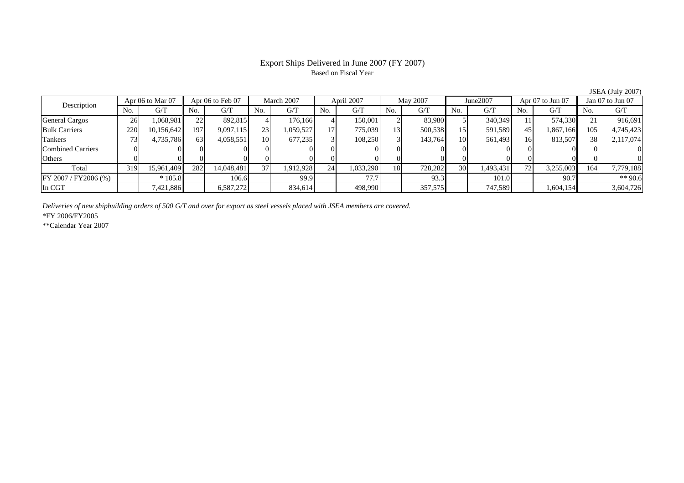#### Export Ships Delivered in June 2007 (FY 2007) Based on Fiscal Year

No. I G/T II No. I G/T II No. I G/T II No. I G/T G/T II No. I G/T II No. I G/T II No. I G/T II No. I G/T II No  $\mathrm{G}/\mathrm{T}$ General Cargos | 26 | 1,068,981 || 22 | 892,815 | 4 | 176,166 | 4 | 150,001 | 2 | 83,980 | 51 340,349 | 11 | 574,330 || 21 | Bulk Carriers 220 10,156,642 197 9,097,115 23 1,059,527 17 775,039 13 500,538 15 591,589 45 1,867,166 105 4,745,423 Tankers | 73| 4,735,786|| 63| 4,058,551| 10| 677,235| 3| 108,250| 3| 143,764| 10| 561,493| 16| 813,507|| 38| 2,117,074 Combined Carriers 0 0 0 0 0 0 0 0 0 0 0 0 0 0 0 0Others | 0 | 0 | 0 | 0 | 0 | 0 | 0 | 0 | 0 | 0 | 0 | 0 Total 319 15,961,409 282 14,048,481 37 1,912,928 24 1,033,290 18 728,282 30 1,493,431 72 3,255,003 164 7,779,188 FY 2007 / FY2006 (%) \* 105.8 106.6 99.9 77.7 93.3 101.0 90.7 \*\* 90.6 In CGT | | 7,421,886|| | 6,587,272| | 834,614| | 498,990| | 357,575| | 747,589| | 1,604,154|| | 3,604,726 March 2007 April 2007 Description Apr 06 to Mar 07 || Apr 06 to Feb 07 || March 2007 || April 2007 || May 2007 || June2007 || Apr 07 to Jun 07 || Jan 07 to Jun 07

*Deliveries of new shipbuilding orders of 500 G/T and over for export as steel vessels placed with JSEA members are covered.*

\*FY 2006/FY2005

\*\*Calendar Year 2007

JSEA (July 2007)